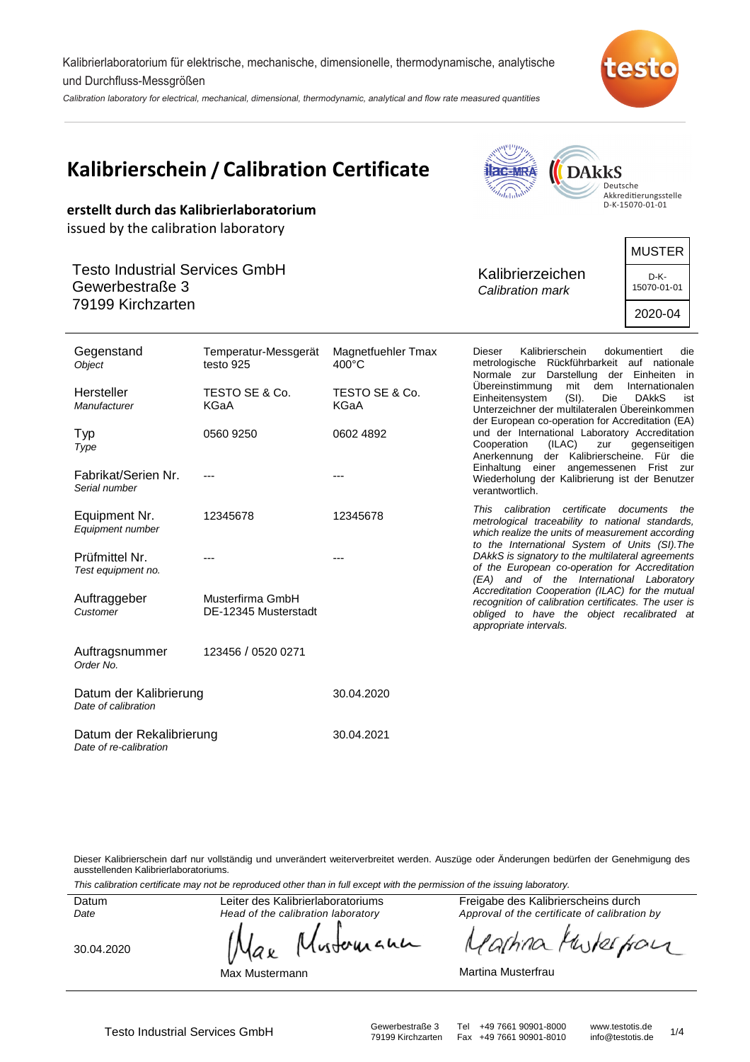Kalibrierlaboratorium für elektrische, mechanische, dimensionelle, thermodynamische, analytische und Durchfluss-Messgrößen

Calibration laboratory for electrical, mechanical, dimensional, thermodynamic, analytical and flow rate measured quantities



#### **Kalibrierschein / Calibration Certificate I**ac=MRA **DAkkS** Deutsche Akkreditierungsstelle D-K-15070-01-01 **erstellt durch das Kalibrierlaboratorium** issued by the calibration laboratory MUSTER Testo Industrial Services GmbH Kalibrierzeichen D-K-Gewerbestraße 3 15070-01-01 Calibration mark 79199 Kirchzarten 2020-04 **Gegenstand** Dieser Kalibrierschein dokumentiert die Temperatur-Messgerät Magnetfuehler Tmax **Object** testo 925 400°C metrologische Rückführbarkeit auf nationale Normale zur Darstellung der Einheiten in<br>Übereinstimmung mit dem Internationalen mit dem Internationalen<br>
(SI). Die DAkkS ist Hersteller TESTO SE & Co. TESTO SE & Co. Einheitensystem (SI). Die DAkkS ist **Manufacturer** KGaA KGaA Unterzeichner der multilateralen Übereinkommen der European co-operation for Accreditation (EA) und der International Laboratory Accreditation Typ 0560 9250 0602 4892 Cooperation (ILAC) zur gegenseitigen Type Anerkennung der Kalibrierscheine. Für die Einhaltung einer angemessenen Frist zur Fabrikat/Serien Nr. --- --- Wiederholung der Kalibrierung ist der Benutzer Serial number verantwortlich. This calibration certificate documents the Equipment Nr. 12345678 12345678 metrological traceability to national standards, Equipment number which realize the units of measurement according to the International System of Units (SI).The DAkkS is signatory to the multilateral agreements Prüfmittel Nr. --- -- of the European co-operation for Accreditation Test equipment no. (EA) and of the International Laboratory Accreditation Cooperation (ILAC) for the mutual Auftraggeber Musterfirma GmbH recognition of calibration certificates. The user is Customer DE-12345 Musterstadt obliged to have the object recalibrated at appropriate intervals. Auftragsnummer 123456 / 0520 0271 Order No. Datum der Kalibrierung 30.04.2020 Date of calibration Datum der Rekalibrierung 30.04.2021 Date of re-calibration

Dieser Kalibrierschein darf nur vollständig und unverändert weiterverbreitet werden. Auszüge oder Änderungen bedürfen der Genehmigung des ausstellenden Kalibrierlaboratoriums.

This calibration certificate may not be reproduced other than in full except with the permission of the issuing laboratory.

**Datum** Date

Leiter des Kalibrierlaboratoriums Head of the calibration laboratory

30.04.2020

wounann a v

Max Mustermann

Freigabe des Kalibrierscheins durch Approval of the certificate of calibration by

Mutes from  $\partial h$ na

Martina Musterfrau

Fax +49 7661 90901-8010

Testo Industrial Services GmbH<br>Testo Industrial Services GmbH Gewerbestraße 3 Tel +49 7661 90901-8010 info@testotis.de 1/4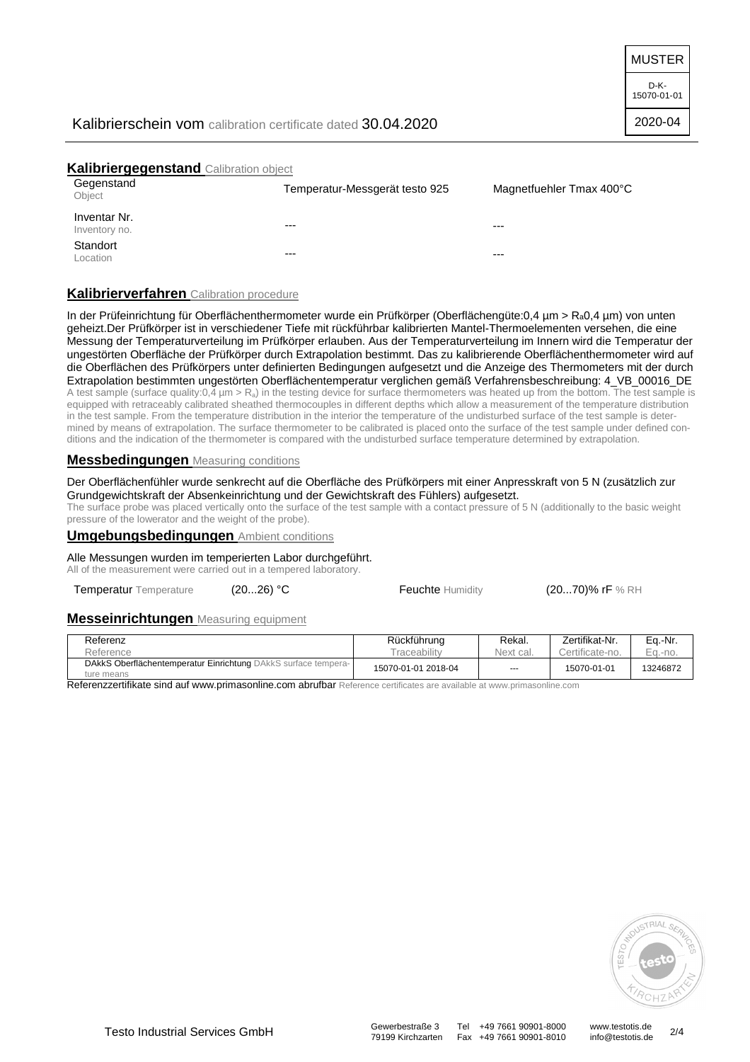MUSTER

D-K-15070-01-01

# Kalibrierschein vom calibration certificate dated 30.04.2020

### **Kalibriergegenstand** Calibration object

| Gegenstand<br>Object          | Temperatur-Messgerät testo 925 | Magnetfuehler Tmax 400°C |
|-------------------------------|--------------------------------|--------------------------|
| Inventar Nr.<br>Inventory no. | $---$                          | $--$                     |
| Standort<br>Location          | $---$                          | $---$                    |

# **Kalibrierverfahren** Calibration procedure

In der Prüfeinrichtung für Oberflächenthermometer wurde ein Prüfkörper (Oberflächengüte:0,4 µm > Ra0,4 µm) von unten geheizt.Der Prüfkörper ist in verschiedener Tiefe mit rückführbar kalibrierten Mantel-Thermoelementen versehen, die eine Messung der Temperaturverteilung im Prüfkörper erlauben. Aus der Temperaturverteilung im Innern wird die Temperatur der ungestörten Oberfläche der Prüfkörper durch Extrapolation bestimmt. Das zu kalibrierende Oberflächenthermometer wird auf die Oberflächen des Prüfkörpers unter definierten Bedingungen aufgesetzt und die Anzeige des Thermometers mit der durch Extrapolation bestimmten ungestörten Oberflächentemperatur verglichen gemäß Verfahrensbeschreibung: 4\_VB\_00016\_DE A test sample (surface quality:0,4  $\mu$ m > R<sub>a</sub>) in the testing device for surface thermometers was heated up from the bottom. The test sample is equipped with retraceably calibrated sheathed thermocouples in different depths which allow a measurement of the temperature distribution in the test sample. From the temperature distribution in the interior the temperature of the undisturbed surface of the test sample is determined by means of extrapolation. The surface thermometer to be calibrated is placed onto the surface of the test sample under defined conditions and the indication of the thermometer is compared with the undisturbed surface temperature determined by extrapolation.

### **Messbedingungen** Measuring conditions

#### Der Oberflächenfühler wurde senkrecht auf die Oberfläche des Prüfkörpers mit einer Anpresskraft von 5 N (zusätzlich zur Grundgewichtskraft der Absenkeinrichtung und der Gewichtskraft des Fühlers) aufgesetzt.

The surface probe was placed vertically onto the surface of the test sample with a contact pressure of 5 N (additionally to the basic weight pressure of the lowerator and the weight of the probe).

#### **Umgebungsbedingungen** Ambient conditions

Alle Messungen wurden im temperierten Labor durchgeführt.

All of the measurement were carried out in a tempered laboratory.

Temperatur Temperature (20...26) °C Feuchte Humidity (20...70)% rF % RH

#### **Messeinrichtungen** Measuring equipment

| Referenz                                                                     | Rückführung<br>raceability | Rekal.    | Zertifikat-Nr.<br>Certificate-no. | Eq.-Nr.    |
|------------------------------------------------------------------------------|----------------------------|-----------|-----------------------------------|------------|
| Reference                                                                    |                            | Next cal. |                                   | $Eq. -no.$ |
| DAkkS Oberflächentemperatur Einrichtung DAkkS surface tempera-<br>ture means | 15070-01-01 2018-04        | $- - -$   | 15070-01-01                       | 13246872   |

Referenzzertifikate sind auf www.primasonline.com abrufbar Reference certificates are available at www.primasonline.com



Fax +49 7661 90901-8010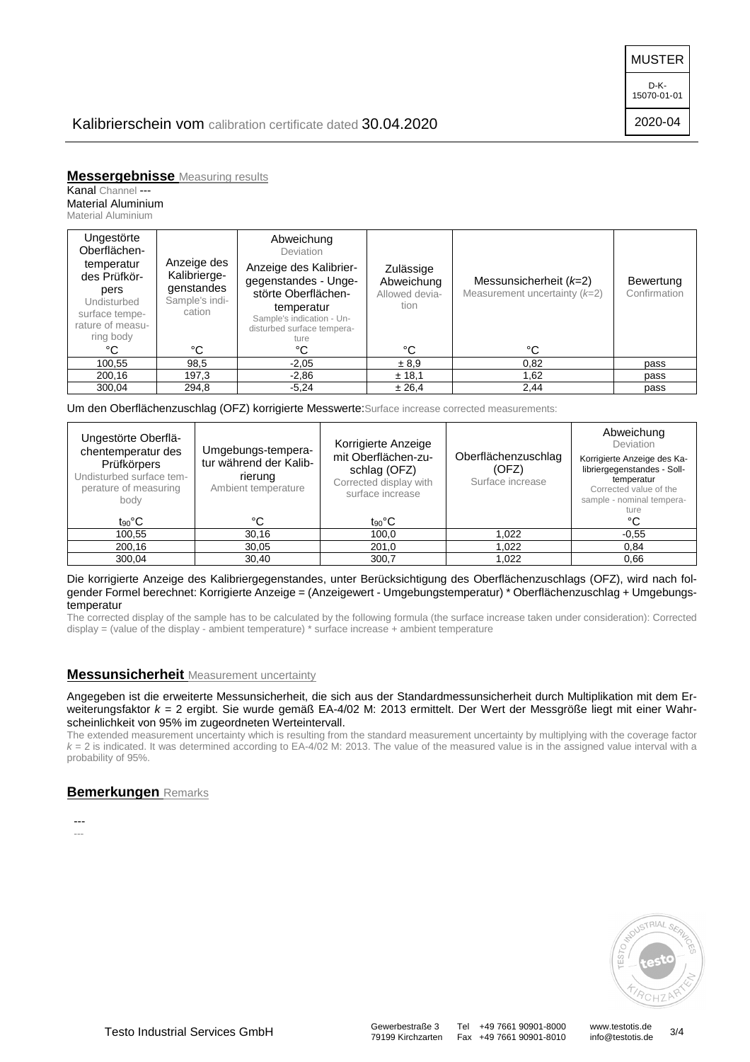MUSTER

D-K-15070-01-01

2020-04

# Kalibrierschein vom calibration certificate dated 30.04.2020

**Messergebnisse** Measuring results

Kanal Channel ---

Material Aluminium Material Aluminium

| Ungestörte<br>Oberflächen-<br>temperatur<br>des Prüfkör-<br>pers<br>Undisturbed<br>surface tempe-<br>rature of measu-<br>ring body | Anzeige des<br>Kalibrierge-<br>genstandes<br>Sample's indi-<br>cation | Abweichung<br>Deviation<br>Anzeige des Kalibrier-<br>gegenstandes - Unge-<br>störte Oberflächen-<br>temperatur<br>Sample's indication - Un-<br>disturbed surface tempera-<br>ture | Zulässige<br>Abweichung<br>Allowed devia-<br>tion | Messunsicherheit $(k=2)$<br>Measurement uncertainty $(k=2)$ | Bewertung<br>Confirmation |
|------------------------------------------------------------------------------------------------------------------------------------|-----------------------------------------------------------------------|-----------------------------------------------------------------------------------------------------------------------------------------------------------------------------------|---------------------------------------------------|-------------------------------------------------------------|---------------------------|
| °C                                                                                                                                 | °C                                                                    | °C                                                                                                                                                                                | °C                                                | °C                                                          |                           |
| 100,55                                                                                                                             | 98,5                                                                  | $-2.05$                                                                                                                                                                           | ± 8.9                                             | 0,82                                                        | pass                      |
| 200,16                                                                                                                             | 197,3                                                                 | $-2,86$                                                                                                                                                                           | ± 18,1                                            | 1,62                                                        | pass                      |
| 300,04                                                                                                                             | 294,8                                                                 | $-5.24$                                                                                                                                                                           | ± 26.4                                            | 2,44                                                        | pass                      |

Um den Oberflächenzuschlag (OFZ) korrigierte Messwerte:Surface increase corrected measurements:

| Ungestörte Oberflä-<br>chentemperatur des<br>Prüfkörpers<br>Undisturbed surface tem-<br>perature of measuring<br>body | Umgebungs-tempera-<br>tur während der Kalib-<br>rierung<br>Ambient temperature | Korrigierte Anzeige<br>mit Oberflächen-zu-<br>schlag (OFZ)<br>Corrected display with<br>surface increase | Oberflächenzuschlag<br>(OFZ)<br>Surface increase | Abweichung<br>Deviation<br>Korrigierte Anzeige des Ka-<br>libriergegenstandes - Soll-<br>temperatur<br>Corrected value of the<br>sample - nominal tempera-<br>ture |
|-----------------------------------------------------------------------------------------------------------------------|--------------------------------------------------------------------------------|----------------------------------------------------------------------------------------------------------|--------------------------------------------------|--------------------------------------------------------------------------------------------------------------------------------------------------------------------|
| t <sub>90</sub> °C                                                                                                    | °C                                                                             | $t_{90}$ °C                                                                                              |                                                  | °C                                                                                                                                                                 |
| 100.55                                                                                                                | 30.16                                                                          | 100,0                                                                                                    | 1.022                                            | $-0.55$                                                                                                                                                            |
| 200,16                                                                                                                | 30,05                                                                          | 201,0                                                                                                    | 1.022                                            | 0,84                                                                                                                                                               |
| 300,04                                                                                                                | 30,40                                                                          | 300.7                                                                                                    | 1.022                                            | 0.66                                                                                                                                                               |

#### Die korrigierte Anzeige des Kalibriergegenstandes, unter Berücksichtigung des Oberflächenzuschlags (OFZ), wird nach folgender Formel berechnet: Korrigierte Anzeige = (Anzeigewert - Umgebungstemperatur) \* Oberflächenzuschlag + Umgebungstemperatur

The corrected display of the sample has to be calculated by the following formula (the surface increase taken under consideration): Corrected display = (value of the display - ambient temperature) \* surface increase + ambient temperature

# **Messunsicherheit** Measurement uncertainty

Angegeben ist die erweiterte Messunsicherheit, die sich aus der Standardmessunsicherheit durch Multiplikation mit dem Erweiterungsfaktor k = 2 ergibt. Sie wurde gemäß EA-4/02 M: 2013 ermittelt. Der Wert der Messgröße liegt mit einer Wahrscheinlichkeit von 95% im zugeordneten Werteintervall.

The extended measurement uncertainty which is resulting from the standard measurement uncertainty by multiplying with the coverage factor  $k = 2$  is indicated. It was determined according to  $EA-4/02$  M: 2013. The value of the measured value is in the assigned value interval with a probability of 95%.

# **Bemerkungen** Remarks

--- ---



79199 Kirchzarten Fax +49 7661 90901-8010